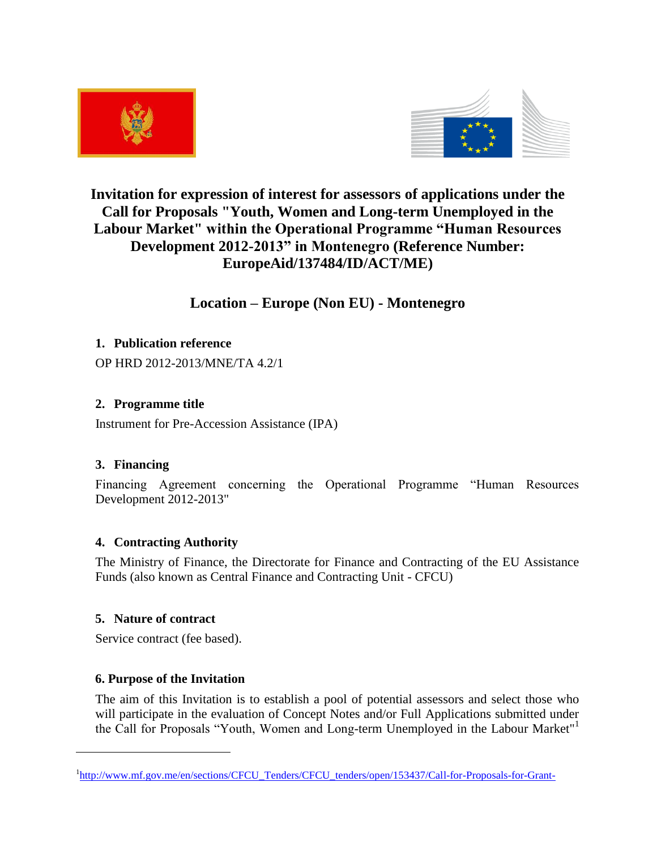



# **Invitation for expression of interest for assessors of applications under the Call for Proposals "Youth, Women and Long-term Unemployed in the Labour Market" within the Operational Programme "Human Resources Development 2012-2013" in Montenegro (Reference Number: EuropeAid/137484/ID/ACT/ME)**

# **Location – Europe (Non EU) - Montenegro**

# **1. Publication reference**

OP HRD 2012-2013/MNE/TA 4.2/1

# **2. Programme title**

Instrument for Pre-Accession Assistance (IPA)

# **3. Financing**

Financing Agreement concerning the Operational Programme "Human Resources Development 2012-2013"

# **4. Contracting Authority**

The Ministry of Finance, the Directorate for Finance and Contracting of the EU Assistance Funds (also known as Central Finance and Contracting Unit - CFCU)

# **5. Nature of contract**

 $\overline{a}$ 

Service contract (fee based).

# **6. Purpose of the Invitation**

The aim of this Invitation is to establish a pool of potential assessors and select those who will participate in the evaluation of Concept Notes and/or Full Applications submitted under the Call for Proposals "Youth, Women and Long-term Unemployed in the Labour Market"<sup>1</sup>

<sup>&</sup>lt;sup>1</sup>[http://www.mf.gov.me/en/sections/CFCU\\_Tenders/CFCU\\_tenders/open/153437/Call-for-Proposals-for-Grant-](http://www.mf.gov.me/en/sections/CFCU_Tenders/CFCU_tenders/open/153437/Call-for-Proposals-for-Grant-Scheme-Youth-Women-and-Long-term-Unemployed-in-the-Labour-Market.html)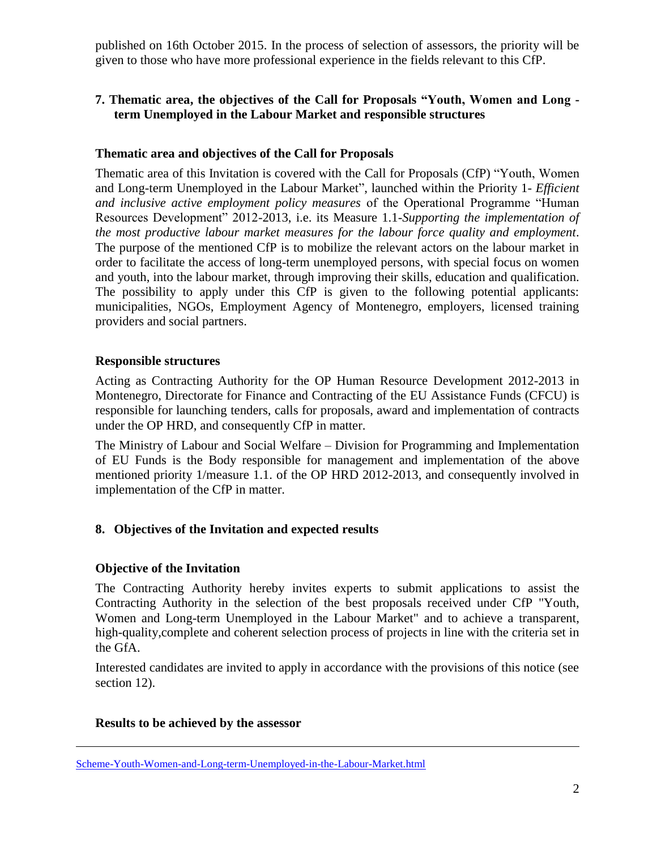published on 16th October 2015. In the process of selection of assessors, the priority will be given to those who have more professional experience in the fields relevant to this CfP.

# **7. Thematic area, the objectives of the Call for Proposals "Youth, Women and Long term Unemployed in the Labour Market and responsible structures**

# **Thematic area and objectives of the Call for Proposals**

Thematic area of this Invitation is covered with the Call for Proposals (CfP) "Youth, Women and Long-term Unemployed in the Labour Market", launched within the Priority 1- *Efficient and inclusive active employment policy measures* of the Operational Programme "Human Resources Development" 2012-2013, i.e. its Measure 1.1-*Supporting the implementation of the most productive labour market measures for the labour force quality and employment*. The purpose of the mentioned CfP is to mobilize the relevant actors on the labour market in order to facilitate the access of long-term unemployed persons, with special focus on women and youth, into the labour market, through improving their skills, education and qualification. The possibility to apply under this CfP is given to the following potential applicants: municipalities, NGOs, Employment Agency of Montenegro, employers, licensed training providers and social partners.

#### **Responsible structures**

Acting as Contracting Authority for the OP Human Resource Development 2012-2013 in Montenegro, Directorate for Finance and Contracting of the EU Assistance Funds (CFCU) is responsible for launching tenders, calls for proposals, award and implementation of contracts under the OP HRD, and consequently CfP in matter.

The Ministry of Labour and Social Welfare – Division for Programming and Implementation of EU Funds is the Body responsible for management and implementation of the above mentioned priority 1/measure 1.1. of the OP HRD 2012-2013, and consequently involved in implementation of the CfP in matter.

# **8. Objectives of the Invitation and expected results**

# **Objective of the Invitation**

The Contracting Authority hereby invites experts to submit applications to assist the Contracting Authority in the selection of the best proposals received under CfP "Youth, Women and Long-term Unemployed in the Labour Market" and to achieve a transparent, high-quality,complete and coherent selection process of projects in line with the criteria set in the GfA.

Interested candidates are invited to apply in accordance with the provisions of this notice (see section 12).

#### **Results to be achieved by the assessor**

 $\overline{a}$ 

Scheme-Youth-Women-and-Long-term-Unemployed-in-the-Labour-Market.html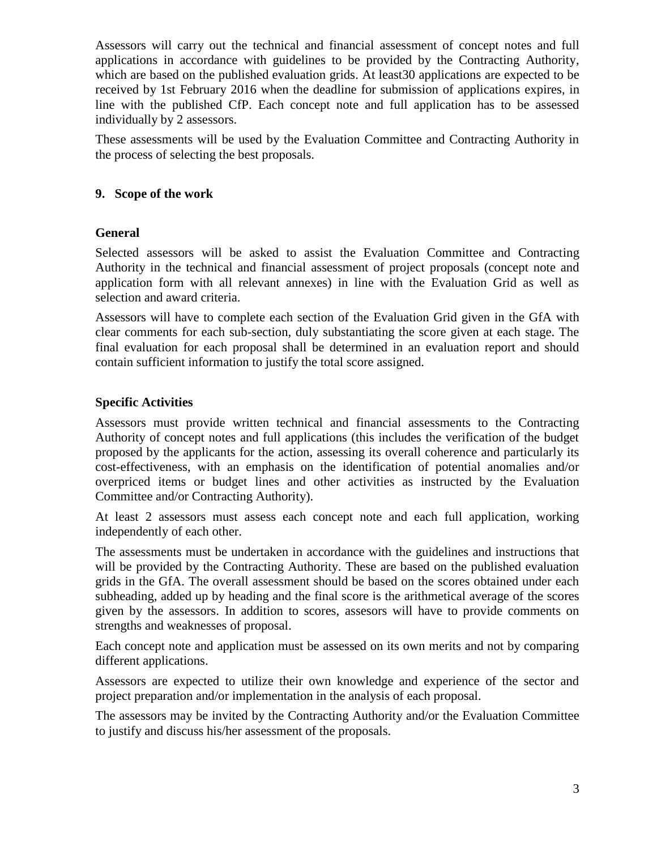Assessors will carry out the technical and financial assessment of concept notes and full applications in accordance with guidelines to be provided by the Contracting Authority, which are based on the published evaluation grids. At least30 applications are expected to be received by 1st February 2016 when the deadline for submission of applications expires, in line with the published CfP. Each concept note and full application has to be assessed individually by 2 assessors.

These assessments will be used by the Evaluation Committee and Contracting Authority in the process of selecting the best proposals.

### **9. Scope of the work**

#### **General**

Selected assessors will be asked to assist the Evaluation Committee and Contracting Authority in the technical and financial assessment of project proposals (concept note and application form with all relevant annexes) in line with the Evaluation Grid as well as selection and award criteria.

Assessors will have to complete each section of the Evaluation Grid given in the GfA with clear comments for each sub-section, duly substantiating the score given at each stage. The final evaluation for each proposal shall be determined in an evaluation report and should contain sufficient information to justify the total score assigned.

#### **Specific Activities**

Assessors must provide written technical and financial assessments to the Contracting Authority of concept notes and full applications (this includes the verification of the budget proposed by the applicants for the action, assessing its overall coherence and particularly its cost-effectiveness, with an emphasis on the identification of potential anomalies and/or overpriced items or budget lines and other activities as instructed by the Evaluation Committee and/or Contracting Authority).

At least 2 assessors must assess each concept note and each full application, working independently of each other.

The assessments must be undertaken in accordance with the guidelines and instructions that will be provided by the Contracting Authority. These are based on the published evaluation grids in the GfA. The overall assessment should be based on the scores obtained under each subheading, added up by heading and the final score is the arithmetical average of the scores given by the assessors. In addition to scores, assesors will have to provide comments on strengths and weaknesses of proposal.

Each concept note and application must be assessed on its own merits and not by comparing different applications.

Assessors are expected to utilize their own knowledge and experience of the sector and project preparation and/or implementation in the analysis of each proposal.

The assessors may be invited by the Contracting Authority and/or the Evaluation Committee to justify and discuss his/her assessment of the proposals.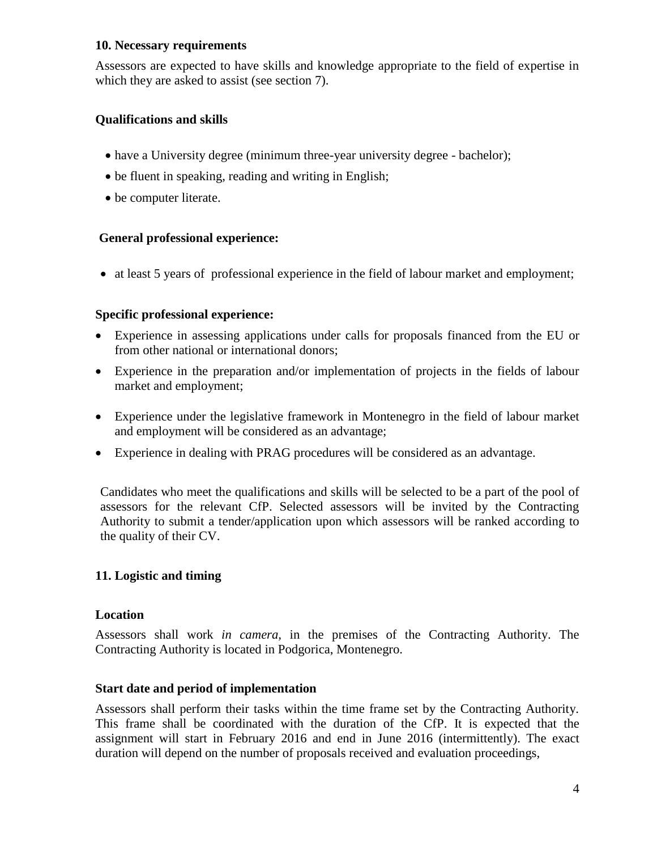#### **10. Necessary requirements**

Assessors are expected to have skills and knowledge appropriate to the field of expertise in which they are asked to assist (see section 7).

# **Qualifications and skills**

- have a University degree (minimum three-year university degree bachelor);
- be fluent in speaking, reading and writing in English;
- be computer literate.

# **General professional experience:**

at least 5 years of professional experience in the field of labour market and employment;

# **Specific professional experience:**

- Experience in assessing applications under calls for proposals financed from the EU or from other national or international donors;
- Experience in the preparation and/or implementation of projects in the fields of labour market and employment;
- Experience under the legislative framework in Montenegro in the field of labour market and employment will be considered as an advantage;
- Experience in dealing with PRAG procedures will be considered as an advantage.

Candidates who meet the qualifications and skills will be selected to be a part of the pool of assessors for the relevant CfP. Selected assessors will be invited by the Contracting Authority to submit a tender/application upon which assessors will be ranked according to the quality of their CV.

# **11. Logistic and timing**

# **Location**

Assessors shall work *in camera,* in the premises of the Contracting Authority. The Contracting Authority is located in Podgorica, Montenegro.

# **Start date and period of implementation**

Assessors shall perform their tasks within the time frame set by the Contracting Authority. This frame shall be coordinated with the duration of the CfP. It is expected that the assignment will start in February 2016 and end in June 2016 (intermittently). The exact duration will depend on the number of proposals received and evaluation proceedings,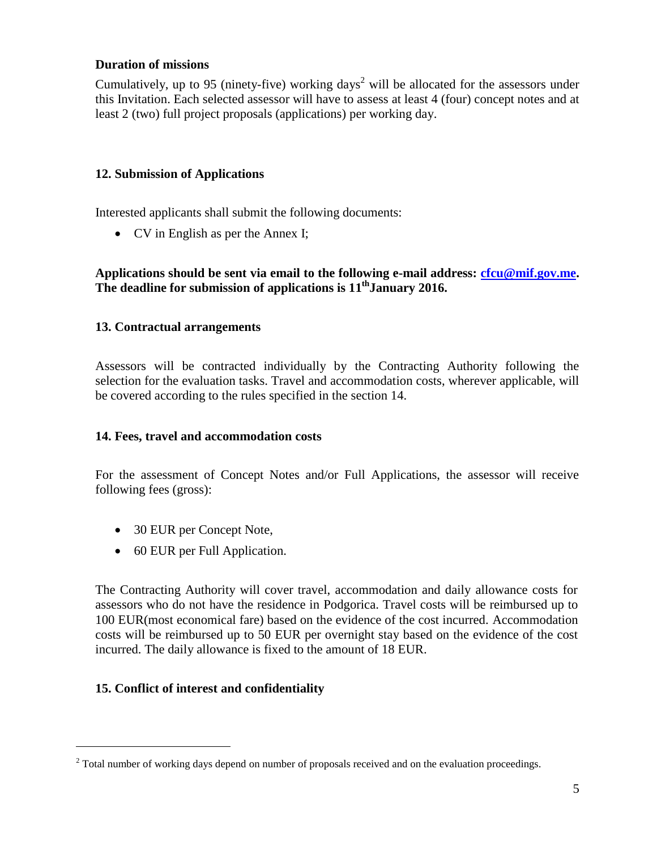### **Duration of missions**

Cumulatively, up to 95 (ninety-five) working days<sup>2</sup> will be allocated for the assessors under this Invitation. Each selected assessor will have to assess at least 4 (four) concept notes and at least 2 (two) full project proposals (applications) per working day.

# **12. Submission of Applications**

Interested applicants shall submit the following documents:

• CV in English as per the Annex I;

### **Applications should be sent via email to the following e-mail address: [cfcu@mif.gov.me.](mailto:cfcu@mif.gov.me) The deadline for submission of applications is 11 thJanuary 2016.**

# **13. Contractual arrangements**

Assessors will be contracted individually by the Contracting Authority following the selection for the evaluation tasks. Travel and accommodation costs, wherever applicable, will be covered according to the rules specified in the section 14.

# **14. Fees, travel and accommodation costs**

For the assessment of Concept Notes and/or Full Applications, the assessor will receive following fees (gross):

- 30 EUR per Concept Note,
- 60 EUR per Full Application.

The Contracting Authority will cover travel, accommodation and daily allowance costs for assessors who do not have the residence in Podgorica. Travel costs will be reimbursed up to 100 EUR(most economical fare) based on the evidence of the cost incurred. Accommodation costs will be reimbursed up to 50 EUR per overnight stay based on the evidence of the cost incurred. The daily allowance is fixed to the amount of 18 EUR.

# **15. Conflict of interest and confidentiality**

 $\overline{a}$ 

<sup>&</sup>lt;sup>2</sup> Total number of working days depend on number of proposals received and on the evaluation proceedings.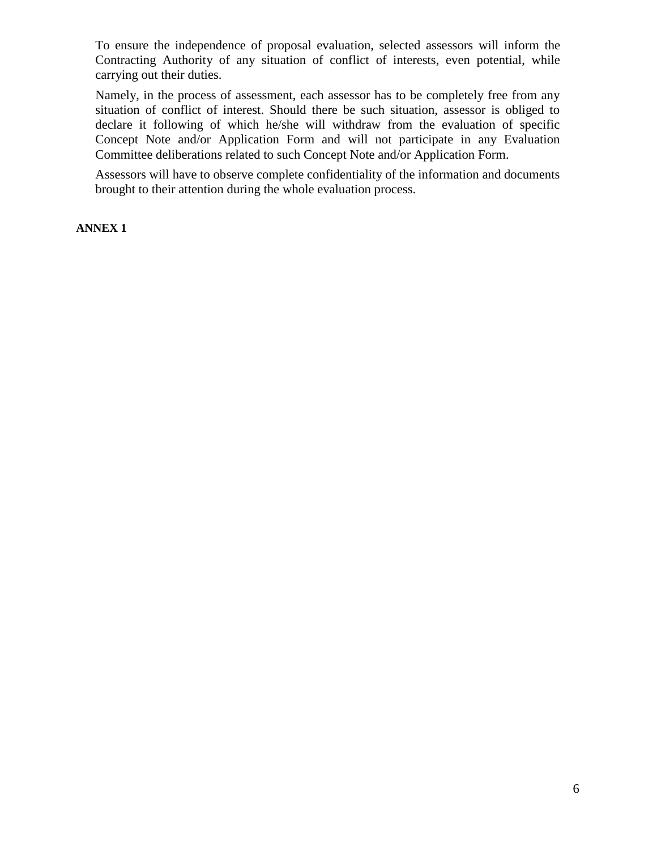To ensure the independence of proposal evaluation, selected assessors will inform the Contracting Authority of any situation of conflict of interests, even potential, while carrying out their duties.

Namely, in the process of assessment, each assessor has to be completely free from any situation of conflict of interest. Should there be such situation, assessor is obliged to declare it following of which he/she will withdraw from the evaluation of specific Concept Note and/or Application Form and will not participate in any Evaluation Committee deliberations related to such Concept Note and/or Application Form.

Assessors will have to observe complete confidentiality of the information and documents brought to their attention during the whole evaluation process.

**ANNEX 1**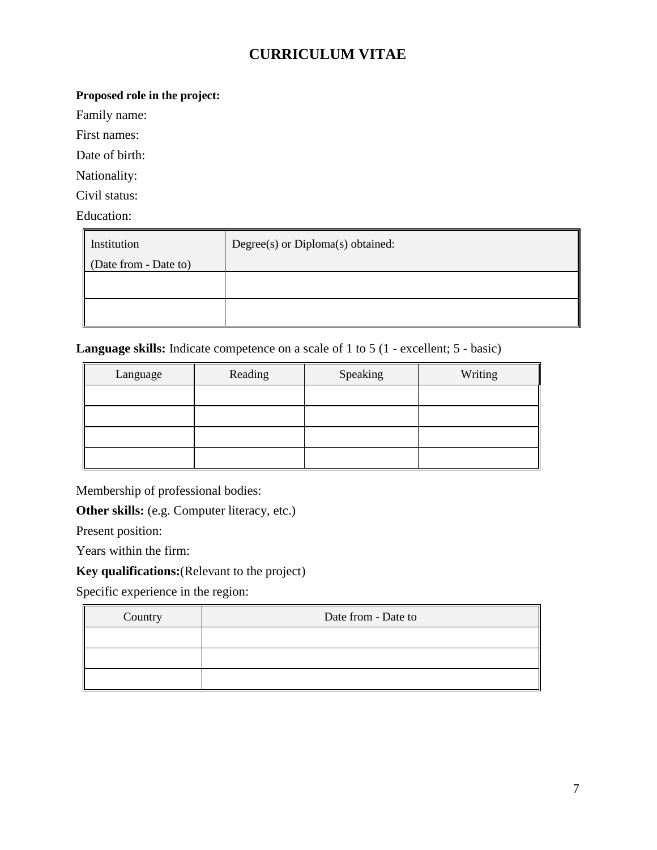# **CURRICULUM VITAE**

# **Proposed role in the project:**

Family name:

First names:

Date of birth:

Nationality:

Civil status:

Education:

| Institution           | Degree(s) or Diploma(s) obtained: |  |  |
|-----------------------|-----------------------------------|--|--|
| (Date from - Date to) |                                   |  |  |
|                       |                                   |  |  |
|                       |                                   |  |  |
|                       |                                   |  |  |
|                       |                                   |  |  |

**Language skills:** Indicate competence on a scale of 1 to 5 (1 - excellent; 5 - basic)

| Language | Reading | Speaking | Writing |
|----------|---------|----------|---------|
|          |         |          |         |
|          |         |          |         |
|          |         |          |         |
|          |         |          |         |

Membership of professional bodies:

**Other skills:** (e.g. Computer literacy, etc.)

Present position:

Years within the firm:

**Key qualifications:**(Relevant to the project)

Specific experience in the region:

| Country | Date from - Date to |  |  |
|---------|---------------------|--|--|
|         |                     |  |  |
|         |                     |  |  |
|         |                     |  |  |